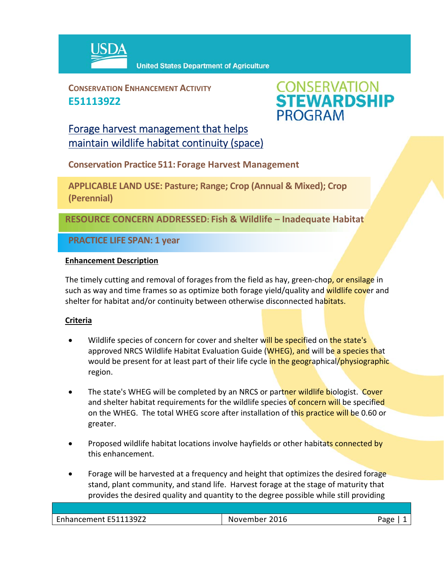

**CONSERVATION ENHANCEMENT ACTIVITY E511139Z2**



# Forage harvest management that helps maintain wildlife habitat continuity (space)

**Conservation Practice 511: Forage Harvest Management**

**APPLICABLE LAND USE: Pasture; Range; Crop (Annual & Mixed); Crop (Perennial)**

**RESOURCE CONCERN ADDRESSED: Fish & Wildlife – Inadequate Habitat** 

**PRACTICE LIFE SPAN: 1 year**

### **Enhancement Description**

The timely cutting and removal of forages from the field as hay, green-chop, or ensilage in such as way and time frames so as optimize both forage yield/quality and wildlife cover and shelter for habitat and/or continuity between otherwise disconnected habitats.

## **Criteria**

- Wildlife species of concern for cover and shelter will be specified on the state's approved NRCS Wildlife Habitat Evaluation Guide (WHEG), and will be a species that would be present for at least part of their life cycle in the geographical/physiographic region.
- The state's WHEG will be completed by an NRCS or partner wildlife biologist. Cover and shelter habitat requirements for the wildlife species of concern will be specified on the WHEG. The total WHEG score after installation of this practice will be 0.60 or greater.
- Proposed wildlife habitat locations involve hayfields or other habitats connected by this enhancement.
- Forage will be harvested at a frequency and height that optimizes the desired forage stand, plant community, and stand life. Harvest forage at the stage of maturity that provides the desired quality and quantity to the degree possible while still providing

| 139Z2<br>$\overline{\phantom{0}}$<br>$\sim$ $\sim$ $\sim$<br>--<br>.<br>14 L L L | - - -<br>2016<br>$\sim$<br>--<br>N<br>$\overline{M}$<br>.<br>_____ | - 1 U L |
|----------------------------------------------------------------------------------|--------------------------------------------------------------------|---------|
|                                                                                  |                                                                    |         |